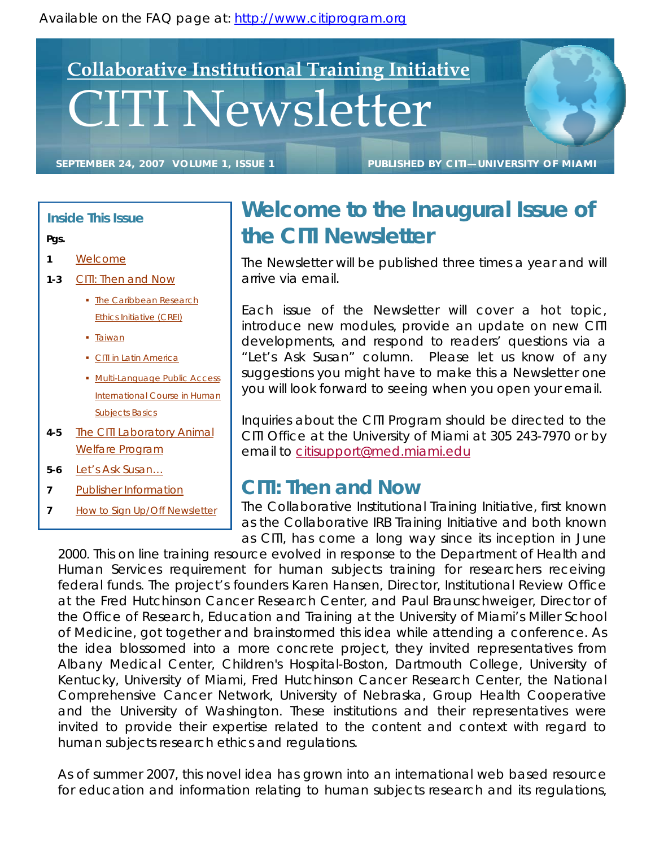Available on the FAQ page at: http://www.citiprogram.org

# CITI Newsletter **Collaborative Institutional Training Initiative**

**SEPTEMBER 24, 2007 VOLUME 1, ISSUE 1 PUBLISHED BY CITI—UNIVERSITY OF MIAMI**

#### **Inside This Issue**

#### **Pgs.**

- **1** Welcome
- **1-3** CITI: Then and Now
	- The Caribbean Research Ethics Initiative (CREI)
	- **Taiwan**
	- CITI in Latin America
	- **Multi-Language Public Access** International Course in Human Subjects Basics
- **4-5** The CITI Laboratory Animal Welfare Program
- **5-6** Let's Ask Susan…
- **7** Publisher Information
- **7** How to Sign Up/Off Newsletter

## **Welcome to the Inaugural Issue of the CITI Newsletter**

The Newsletter will be published three times a year and will arrive via email.

Each issue of the Newsletter will cover a hot topic, introduce new modules, provide an update on new CITI developments, and respond to readers' questions via a "Let's Ask Susan" column. Please let us know of any suggestions you might have to make this a Newsletter one you will look forward to seeing when you open your email.

Inquiries about the CITI Program should be directed to the CITI Office at the University of Miami at 305 243-7970 or by email to citisupport@med.miami.edu

## **CITI: Then and Now**

The Collaborative Institutional Training Initiative, first known as the Collaborative IRB Training Initiative and both known as CITI, has come a long way since its inception in June

2000. This on line training resource evolved in response to the Department of Health and Human Services requirement for human subjects training for researchers receiving federal funds. The project's founders Karen Hansen, Director, Institutional Review Office at the Fred Hutchinson Cancer Research Center, and Paul Braunschweiger, Director of the Office of Research, Education and Training at the University of Miami's Miller School of Medicine, got together and brainstormed this idea while attending a conference. As the idea blossomed into a more concrete project, they invited representatives from Albany Medical Center, Children's Hospital-Boston, Dartmouth College, University of Kentucky, University of Miami, Fred Hutchinson Cancer Research Center, the National Comprehensive Cancer Network, University of Nebraska, Group Health Cooperative and the University of Washington. These institutions and their representatives were invited to provide their expertise related to the content and context with regard to human subjects research ethics and regulations.

As of summer 2007, this novel idea has grown into an international web based resource for education and information relating to human subjects research and its regulations,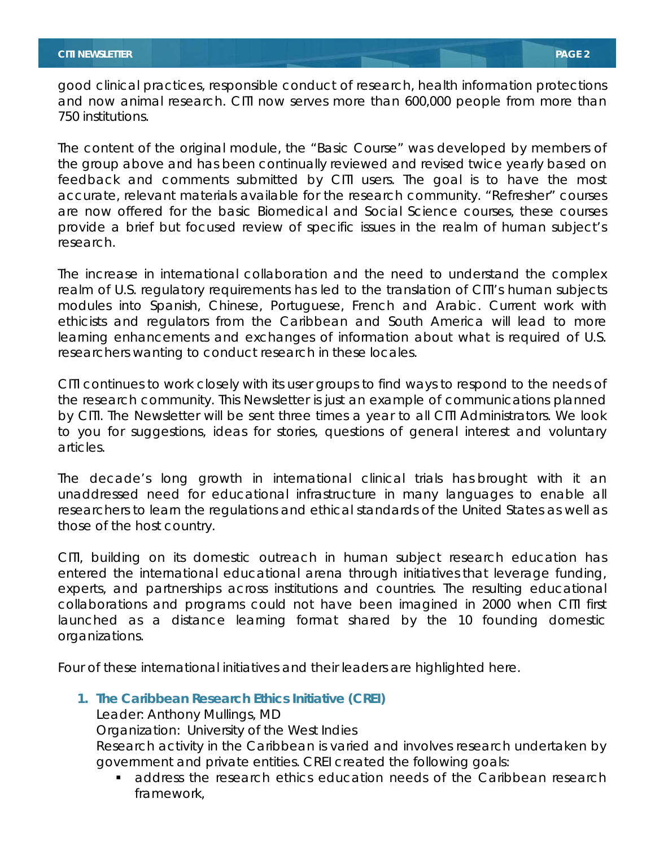good clinical practices, responsible conduct of research, health information protections and now animal research. CITI now serves more than 600,000 people from more than 750 institutions.

The content of the original module, the "Basic Course" was developed by members of the group above and has been continually reviewed and revised twice yearly based on feedback and comments submitted by CITI users. The goal is to have the most accurate, relevant materials available for the research community. "Refresher" courses are now offered for the basic Biomedical and Social Science courses, these courses provide a brief but focused review of specific issues in the realm of human subject's research.

The increase in international collaboration and the need to understand the complex realm of U.S. regulatory requirements has led to the translation of CITI's human subjects modules into Spanish, Chinese, Portuguese, French and Arabic. Current work with ethicists and regulators from the Caribbean and South America will lead to more learning enhancements and exchanges of information about what is required of U.S. researchers wanting to conduct research in these locales.

CITI continues to work closely with its user groups to find ways to respond to the needs of the research community. This Newsletter is just an example of communications planned by CITI. The Newsletter will be sent three times a year to all CITI Administrators. We look to you for suggestions, ideas for stories, questions of general interest and voluntary articles.

The decade's long growth in international clinical trials has brought with it an unaddressed need for educational infrastructure in many languages to enable all researchers to learn the regulations and ethical standards of the United States as well as those of the host country.

CITI, building on its domestic outreach in human subject research education has entered the international educational arena through initiatives that leverage funding, experts, and partnerships across institutions and countries. The resulting educational collaborations and programs could not have been imagined in 2000 when CITI first launched as a distance learning format shared by the 10 founding domestic organizations.

Four of these international initiatives and their leaders are highlighted here.

**1. The Caribbean Research Ethics Initiative (CREI)** 

Leader: Anthony Mullings, MD

Organization: University of the West Indies

Research activity in the Caribbean is varied and involves research undertaken by government and private entities. CREI created the following goals:

 address the research ethics education needs of the Caribbean research framework,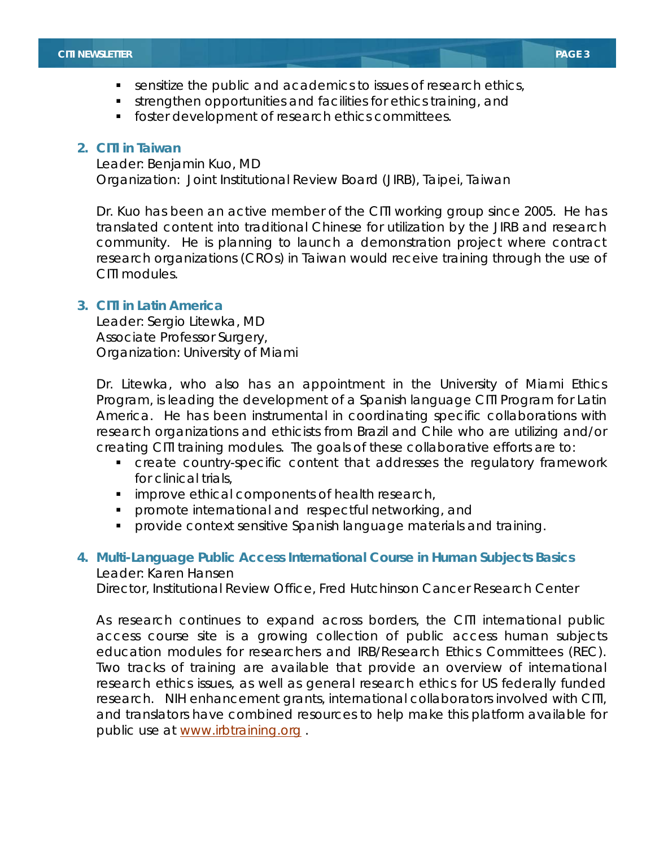- sensitize the public and academics to issues of research ethics,
- strengthen opportunities and facilities for ethics training, and
- **foster development of research ethics committees.**

#### **2. CITI in Taiwan**

Leader: Benjamin Kuo, MD Organization: Joint Institutional Review Board (JIRB), Taipei, Taiwan

Dr. Kuo has been an active member of the CITI working group since 2005. He has translated content into traditional Chinese for utilization by the JIRB and research community. He is planning to launch a demonstration project where contract research organizations (CROs) in Taiwan would receive training through the use of CITI modules.

#### **3. CITI in Latin America**

Leader: Sergio Litewka, MD Associate Professor Surgery, Organization: University of Miami

Dr. Litewka, who also has an appointment in the University of Miami Ethics Program, is leading the development of a Spanish language CITI Program for Latin America. He has been instrumental in coordinating specific collaborations with research organizations and ethicists from Brazil and Chile who are utilizing and/or creating CITI training modules. The goals of these collaborative efforts are to:

- create country-specific content that addresses the regulatory framework for clinical trials,
- **improve ethical components of health research,**
- **promote international and respectful networking, and**
- **Perovide context sensitive Spanish language materials and training.**

### **4. Multi-Language Public Access International Course in Human Subjects Basics**  Leader: Karen Hansen

Director, Institutional Review Office, Fred Hutchinson Cancer Research Center

As research continues to expand across borders, the CITI international public access course site is a growing collection of public access human subjects education modules for researchers and IRB/Research Ethics Committees (REC). Two tracks of training are available that provide an overview of international research ethics issues, as well as general research ethics for US federally funded research. NIH enhancement grants, international collaborators involved with CITI, and translators have combined resources to help make this platform available for public use at www.irbtraining.org .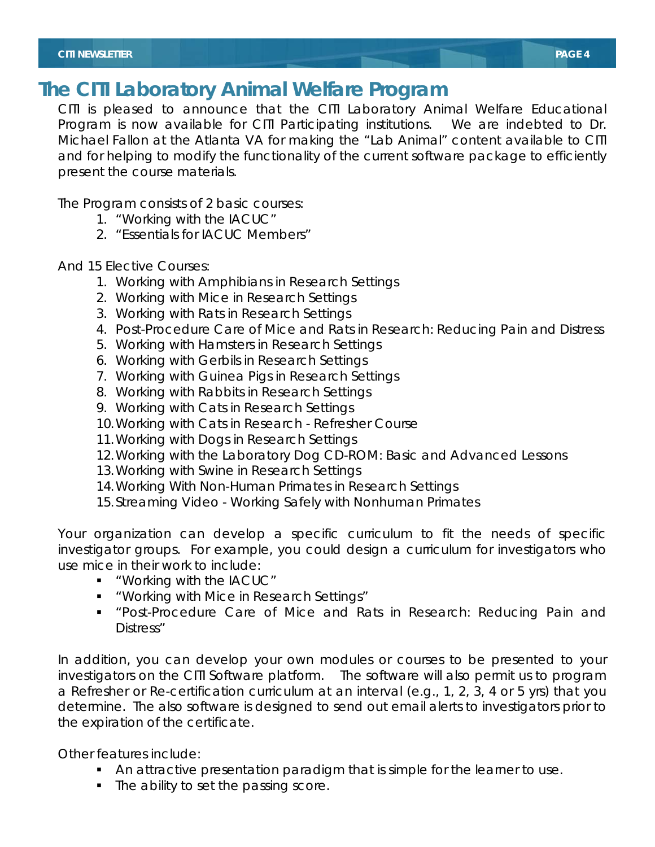## **The CITI Laboratory Animal Welfare Program**

CITI is pleased to announce that the CITI Laboratory Animal Welfare Educational Program is now available for CITI Participating institutions. We are indebted to Dr. Michael Fallon at the Atlanta VA for making the "Lab Animal" content available to CITI and for helping to modify the functionality of the current software package to efficiently present the course materials.

The Program consists of 2 basic courses:

- 1. "Working with the IACUC"
- 2. "Essentials for IACUC Members"

And 15 Elective Courses:

- 1. Working with Amphibians in Research Settings
- 2. Working with Mice in Research Settings
- 3. Working with Rats in Research Settings
- 4. Post-Procedure Care of Mice and Rats in Research: Reducing Pain and Distress
- 5. Working with Hamsters in Research Settings
- 6. Working with Gerbils in Research Settings
- 7. Working with Guinea Pigs in Research Settings
- 8. Working with Rabbits in Research Settings
- 9. Working with Cats in Research Settings
- 10.Working with Cats in Research Refresher Course
- 11.Working with Dogs in Research Settings
- 12.Working with the Laboratory Dog CD-ROM: Basic and Advanced Lessons
- 13.Working with Swine in Research Settings
- 14.Working With Non-Human Primates in Research Settings
- 15.Streaming Video Working Safely with Nonhuman Primates

Your organization can develop a specific curriculum to fit the needs of specific investigator groups. For example, you could design a curriculum for investigators who use mice in their work to include:

- "Working with the IACUC"
- "Working with Mice in Research Settings"
- "Post-Procedure Care of Mice and Rats in Research: Reducing Pain and Distress"

In addition, you can develop your own modules or courses to be presented to your investigators on the CITI Software platform. The software will also permit us to program a Refresher or Re-certification curriculum at an interval (e.g., 1, 2, 3, 4 or 5 yrs) that you determine. The also software is designed to send out email alerts to investigators prior to the expiration of the certificate.

Other features include:

- An attractive presentation paradigm that is simple for the learner to use.
- The ability to set the passing score.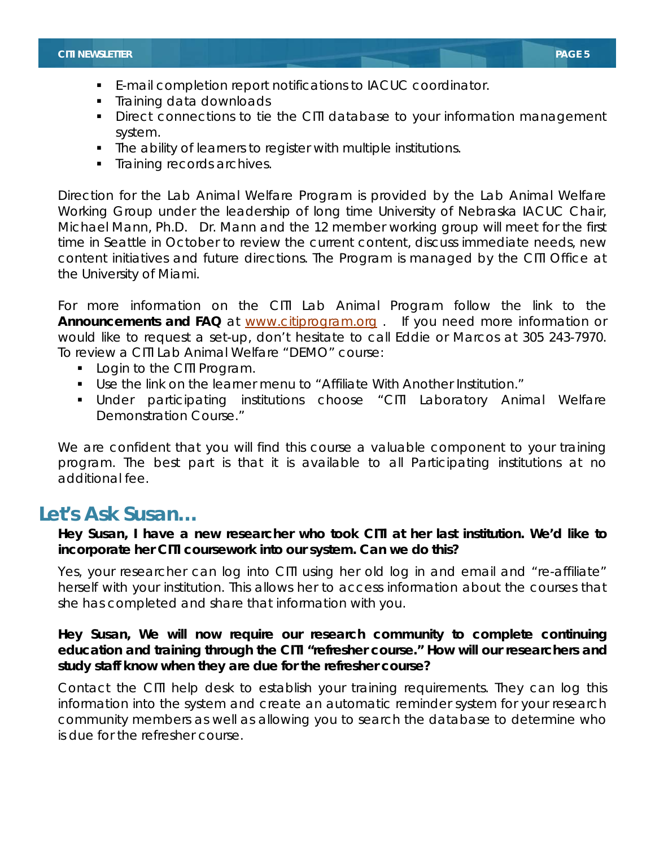- E-mail completion report notifications to IACUC coordinator.
- **Training data downloads**
- Direct connections to tie the CITI database to your information management system.
- The ability of learners to register with multiple institutions.
- **Training records archives.**

Direction for the Lab Animal Welfare Program is provided by the Lab Animal Welfare Working Group under the leadership of long time University of Nebraska IACUC Chair, Michael Mann, Ph.D. Dr. Mann and the 12 member working group will meet for the first time in Seattle in October to review the current content, discuss immediate needs, new content initiatives and future directions. The Program is managed by the CITI Office at the University of Miami.

For more information on the CITI Lab Animal Program follow the link to the **Announcements and FAQ** at www.citiprogram.org . If you need more information or would like to request a set-up, don't hesitate to call Eddie or Marcos at 305 243-7970. To review a CITI Lab Animal Welfare "DEMO" course:

- **Login to the CITI Program.**
- Use the link on the learner menu to "Affiliate With Another Institution."
- Under participating institutions choose "CITI Laboratory Animal Welfare Demonstration Course."

We are confident that you will find this course a valuable component to your training program. The best part is that it is available to all Participating institutions at no additional fee.

## **Let's Ask Susan…**

**Hey Susan, I have a new researcher who took CITI at her last institution. We'd like to incorporate her CITI coursework into our system. Can we do this?** 

*Yes, your researcher can log into CITI using her old log in and email and "re-affiliate" herself with your institution. This allows her to access information about the courses that she has completed and share that information with you.* 

## **Hey Susan, We will now require our research community to complete continuing education and training through the CITI "refresher course." How will our researchers and study staff know when they are due for the refresher course?**

*Contact the CITI help desk to establish your training requirements. They can log this information into the system and create an automatic reminder system for your research community members as well as allowing you to search the database to determine who is due for the refresher course.*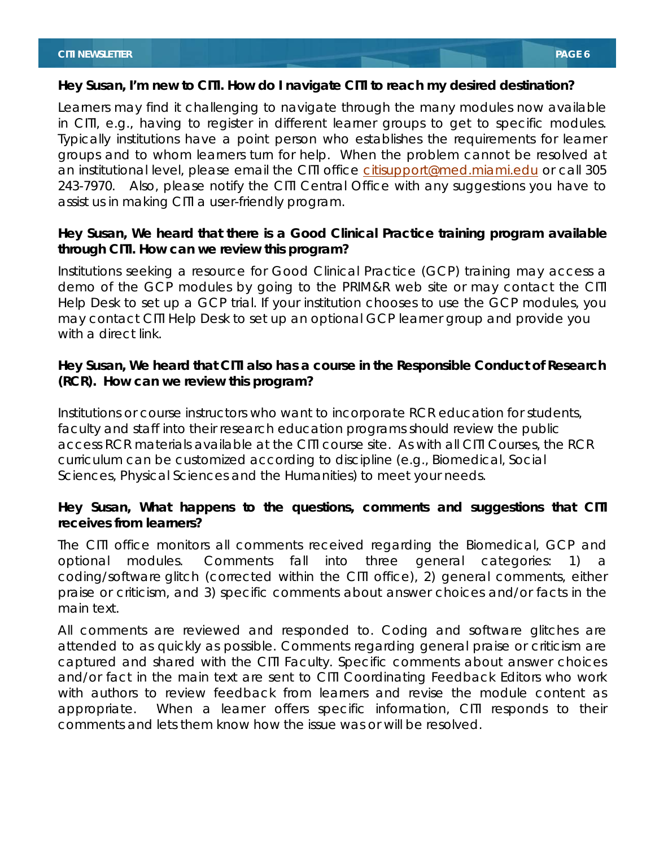#### **Hey Susan, I'm new to CITI. How do I navigate CITI to reach my desired destination?**

*Learners may find it challenging to navigate through the many modules now available in CITI, e.g., having to register in different learner groups to get to specific modules. Typically institutions have a point person who establishes the requirements for learner groups and to whom learners turn for help. When the problem cannot be resolved at an institutional level, please email the CITI office citisupport@med.miami.edu or call 305 243-7970. Also, please notify the CITI Central Office with any suggestions you have to assist us in making CITI a user-friendly program.* 

## **Hey Susan, We heard that there is a Good Clinical Practice training program available through CITI. How can we review this program?**

*Institutions seeking a resource for Good Clinical Practice (GCP) training may access a demo of the GCP modules by going to the PRIM&R web site or may contact the CITI Help Desk to set up a GCP trial. If your institution chooses to use the GCP modules, you may contact CITI Help Desk to set up an optional GCP learner group and provide you with a direct link.* 

## **Hey Susan, We heard that CITI also has a course in the Responsible Conduct of Research (RCR). How can we review this program?**

*Institutions or course instructors who want to incorporate RCR education for students, faculty and staff into their research education programs should review the public access RCR materials available at the CITI course site. As with all CITI Courses, the RCR curriculum can be customized according to discipline (e.g., Biomedical, Social Sciences, Physical Sciences and the Humanities) to meet your needs.* 

## **Hey Susan, What happens to the questions, comments and suggestions that CITI receives from learners?**

*The CITI office monitors all comments received regarding the Biomedical, GCP and optional modules. Comments fall into three general categories: 1) coding/software glitch (corrected within the CITI office), 2) general comments, either praise or criticism, and 3) specific comments about answer choices and/or facts in the main text.* 

*All comments are reviewed and responded to. Coding and software glitches are attended to as quickly as possible. Comments regarding general praise or criticism are captured and shared with the CITI Faculty. Specific comments about answer choices and/or fact in the main text are sent to CITI Coordinating Feedback Editors who work with authors to review feedback from learners and revise the module content as appropriate. When a learner offers specific information, CITI responds to their comments and lets them know how the issue was or will be resolved.*